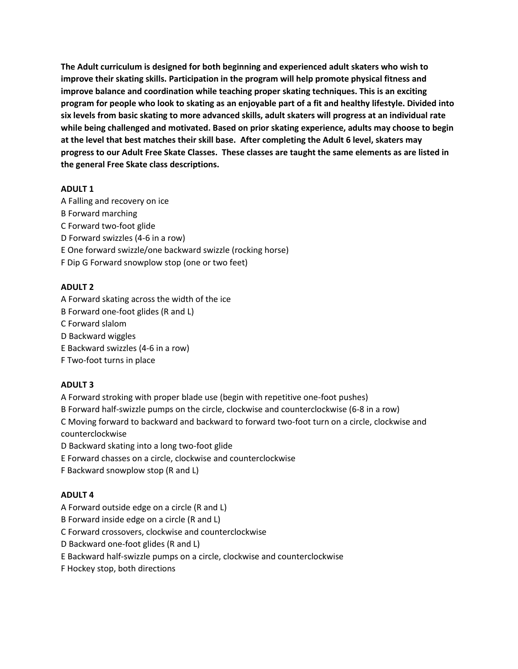**The Adult curriculum is designed for both beginning and experienced adult skaters who wish to improve their skating skills. Participation in the program will help promote physical fitness and improve balance and coordination while teaching proper skating techniques. This is an exciting program for people who look to skating as an enjoyable part of a fit and healthy lifestyle. Divided into six levels from basic skating to more advanced skills, adult skaters will progress at an individual rate while being challenged and motivated. Based on prior skating experience, adults may choose to begin at the level that best matches their skill base. After completing the Adult 6 level, skaters may progress to our Adult Free Skate Classes. These classes are taught the same elements as are listed in the general Free Skate class descriptions.**

# **ADULT 1**

A Falling and recovery on ice

- B Forward marching
- C Forward two-foot glide
- D Forward swizzles (4-6 in a row)
- E One forward swizzle/one backward swizzle (rocking horse)
- F Dip G Forward snowplow stop (one or two feet)

#### **ADULT 2**

A Forward skating across the width of the ice

- B Forward one-foot glides (R and L)
- C Forward slalom
- D Backward wiggles
- E Backward swizzles (4-6 in a row)
- F Two-foot turns in place

# **ADULT 3**

- A Forward stroking with proper blade use (begin with repetitive one-foot pushes)
- B Forward half-swizzle pumps on the circle, clockwise and counterclockwise (6-8 in a row)
- C Moving forward to backward and backward to forward two-foot turn on a circle, clockwise and

counterclockwise

- D Backward skating into a long two-foot glide
- E Forward chasses on a circle, clockwise and counterclockwise
- F Backward snowplow stop (R and L)

# **ADULT 4**

- A Forward outside edge on a circle (R and L)
- B Forward inside edge on a circle (R and L)

C Forward crossovers, clockwise and counterclockwise

- D Backward one-foot glides (R and L)
- E Backward half-swizzle pumps on a circle, clockwise and counterclockwise
- F Hockey stop, both directions